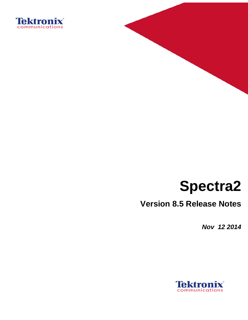



# **Spectra2**

# **Version 8.5 Release Notes**

*Nov 12 2014*

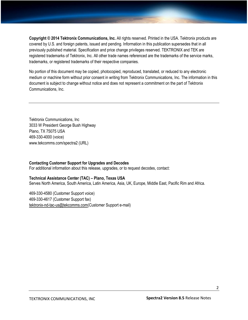**Copyright © 2014 Tektronix Communications, Inc.** All rights reserved. Printed in the USA. Tektronix products are covered by U.S. and foreign patents, issued and pending. Information in this publication supersedes that in all previously published material. Specification and price change privileges reserved. TEKTRONIX and TEK are registered trademarks of Tektronix, Inc. All other trade names referenced are the trademarks of the service marks, trademarks, or registered trademarks of their respective companies.

No portion of this document may be copied, photocopied, reproduced, translated, or reduced to any electronic medium or machine form without prior consent in writing from Tektronix Communications, Inc. The information in this document is subject to change without notice and does not represent a commitment on the part of Tektronix Communications, Inc.

Tektronix Communications, Inc 3033 W President George Bush Highway Plano, TX 75075 USA 469-330-4000 (voice) www.tekcomms.com/spectra2 (URL)

#### **Contacting Customer Support for Upgrades and Decodes** For additional information about this release, upgrades, or to request decodes, contact:

#### **Technical Assistance Center (TAC) – Plano, Texas USA**

Serves North America, South America, Latin America, Asia, UK, Europe, Middle East, Pacific Rim and Africa.

469-330-4580 (Customer Support voice) 469-330-4617 (Customer Support fax) [tektronix-nd-tac-us@tekcomms.com\(](mailto:tektronix-nd-tac-us@tekcomms.com)Customer Support e-mail)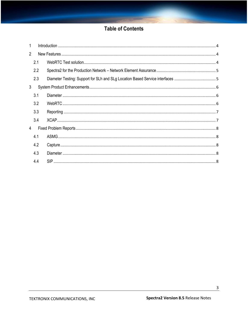# **Table of Contents**

| 1              |     |                                                                               |
|----------------|-----|-------------------------------------------------------------------------------|
| $\overline{2}$ |     |                                                                               |
|                | 2.1 |                                                                               |
|                | 2.2 |                                                                               |
|                | 2.3 | Diameter Testing: Support for SLh and SLg Location Based Service interfaces 5 |
| 3              |     |                                                                               |
|                | 3.1 |                                                                               |
|                | 3.2 |                                                                               |
|                | 3.3 |                                                                               |
|                | 3.4 |                                                                               |
| 4              |     |                                                                               |
|                | 4.1 |                                                                               |
|                | 4.2 |                                                                               |
|                | 4.3 |                                                                               |
|                | 4.4 |                                                                               |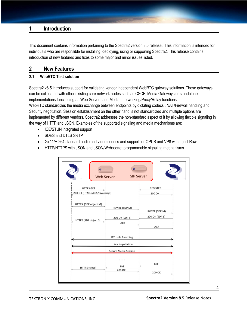# <span id="page-3-0"></span>**1 Introduction**

This document contains information pertaining to the Spectra2 version 8.5 release. This information is intended for individuals who are responsible for installing, deploying, using or supporting Spectra2. This release contains introduction of new features and fixes to some major and minor issues listed.

#### <span id="page-3-1"></span>**2 New Features**

#### <span id="page-3-2"></span>**2.1 WebRTC Test solution**

Spectra2 v8.5 introduces support for validating vendor independent WebRTC gateway solutions. These gateways can be collocated with other existing core network nodes such as CSCF, Media Gateways or standalone implementations functioning as Web Servers and Media Interworking/Proxy/Relay functions. WebRTC standardizes the media exchange between endpoints by dictating codecs , NAT/Firewall handling and Security negotiation. Session establishment on the other hand is not standardized and multiple options are implemented by different vendors. Spectra2 addresses the non-standard aspect of it by allowing flexible signaling in the way of HTTP and JSON. Examples of the supported signaling and media mechanisms are:

- ICE/STUN integrated support
- SDES and DTLS SRTP
- G711/H.264 standard audio and video codecs and support for OPUS and VP8 with Inject Raw
- HTTP/HTTPS with JSON and JSON/Websocket programmable signaling mechanisms

|                                                                                                   | $\bullet$<br><b>Web Server</b>                      | <b>SIP Server</b>                                                    |
|---------------------------------------------------------------------------------------------------|-----------------------------------------------------|----------------------------------------------------------------------|
| <b>HTTPS GET</b><br>200 OK (HTML5/CSS/JavaScript)<br>HTTPS (SDP object M)<br>HTTPS (SDP object S) | INVITE (SDP M)<br>200 OK (SDP S)<br><b>ACK</b>      | <b>REGISTER</b><br>200 OK<br>INVITE (SDP M)<br>200 OK (SDP S)<br>ACK |
|                                                                                                   | <b>ICE Hole Punching</b><br><b>Key Negotiation</b>  |                                                                      |
| HTTPS (close)                                                                                     | <b>Secure Media Session</b><br><b>BYE</b><br>200 OK | <b>BYE</b><br><b>200 OK</b>                                          |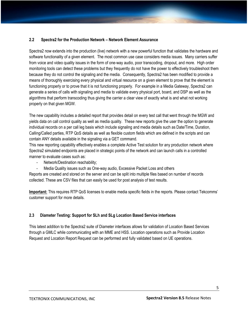#### <span id="page-4-0"></span>**2.2 Spectra2 for the Production Network – Network Element Assurance**

Spectra2 now extends into the production (live) network with a new powerful function that validates the hardware and software functionality of a given element. The most common use case considers media issues. Many carriers suffer from voice and video quality issues in the form of one-way audio, poor transcoding, dropout, and more. High order monitoring tools can detect these problems but they frequently do not have the power to effectively troubleshoot them because they do not control the signaling and the media. Consequently, Spectra2 has been modified to provide a means of thoroughly exercising every physical and virtual resource on a given element to prove that the element is functioning properly or to prove that it is not functioning properly. For example in a Media Gateway, Spectra2 can generate a series of calls with signaling and media to validate every physical port, board, and DSP as well as the algorithms that perform transcoding thus giving the carrier a clear view of exactly what is and what not working properly on that given MGW.

The new capability includes a detailed report that provides detail on every test call that went through the MGW and yields data on call control quality as well as media quality. These new reports give the user the option to generate individual records on a per call leg basis which include signaling and media details such as Date/Time, Duration, Calling/Called parties, RTP QoS details as well as flexible custom fields which are defined in the scripts and can contain ANY details available in the signaling via a GET command.

This new reporting capability effectively enables a complete Active Test solution for any production network where Spectra2 simulated endpoints are placed in strategic points of the network and can launch calls in a controlled manner to evaluate cases such as:

- Network/Destination reachability;
- Media Quality issues such as One-way audio, Excessive Packet Loss and others

Reports are created and stored on the server and can be split into multiple files based on number of records collected. These are CSV files that can easily be used for post analysis of test results.

**Important:** This requires RTP QoS licenses to enable media specific fields in the reports. Please contact Tekcomms' customer support for more details.

#### <span id="page-4-1"></span>**2.3 Diameter Testing: Support for SLh and SLg Location Based Service interfaces**

This latest addition to the Spectra2 suite of Diameter interfaces allows for validation of Location Based Services through a GMLC while communicating with an MME and HSS. Location operations such as Provide Location Request and Location Report Request can be performed and fully validated based on UE operations.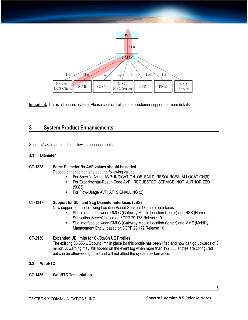

**Important:** This is a licensed feature. Please contact Tekcomms' customer support for more details.

# <span id="page-5-0"></span>**3 System Product Enhancements**

Spectra2 v8.5 contains the following enhancements:

#### <span id="page-5-1"></span>**3.1 Diameter**

#### **CT-1328 Some Diameter Rx AVP values should be added** Decode enhancements to add the following values:

- For Specific-Action AVP: INDICATION\_OF\_FAILD\_RESOURCES\_ALLOCATION(9)
- For Experimental-Result-Code AVP: REQUESTED\_SERVICE\_NOT\_AUTHORIZED (5063)
- For Flow-Usage AVP: AF SIGNALLING (2)

#### **CT-1347 Support for SLh and SLg Diameter interfaces (LBS)**

New support for the following Location Based Services Diameter interfaces:

- SLh interface between GMLC (Gateway Mobile Location Center) and HSS (Home Subscriber Server) based on 3GPP 29.173 Release 10
- SLg interface between GMLC (Gateway Mobile Location Center) and MME (Mobility Management Entity) based on 3GPP 29.172 Release 10

#### **CT-2130 Expanded UE limits for Cx/Dx/Sh UE Profiles** The existing 65,535 UE count limit in place for this profile has been lifted and now can go upwards of 3 million. A warning may still appear on the event log when more than 192,000 entries are configured but can be otherwise ignored and will not affect the system performance.

#### <span id="page-5-2"></span>**3.2 WebRTC**

#### **CT-1436 WebRTC Test solution**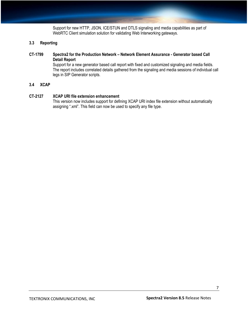Support for new HTTP, JSON, ICE/STUN and DTLS signaling and media capabilities as part of WebRTC Client simulation solution for validating Web Interworking gateways.

#### <span id="page-6-0"></span>**3.3 Reporting**

#### **CT-1799 Spectra2 for the Production Network – Network Element Assurance - Generator based Call Detail Report**

Support for a new generator based call report with fixed and customized signaling and media fields. The report includes correlated details gathered from the signaling and media sessions of individual call legs in SIP Generator scripts.

#### <span id="page-6-1"></span>**3.4 XCAP**

#### **CT-2127 XCAP URI file extension enhancement**

This version now includes support for defining XCAP URI index file extension without automatically assigning ".xml". This field can now be used to specify any file type.